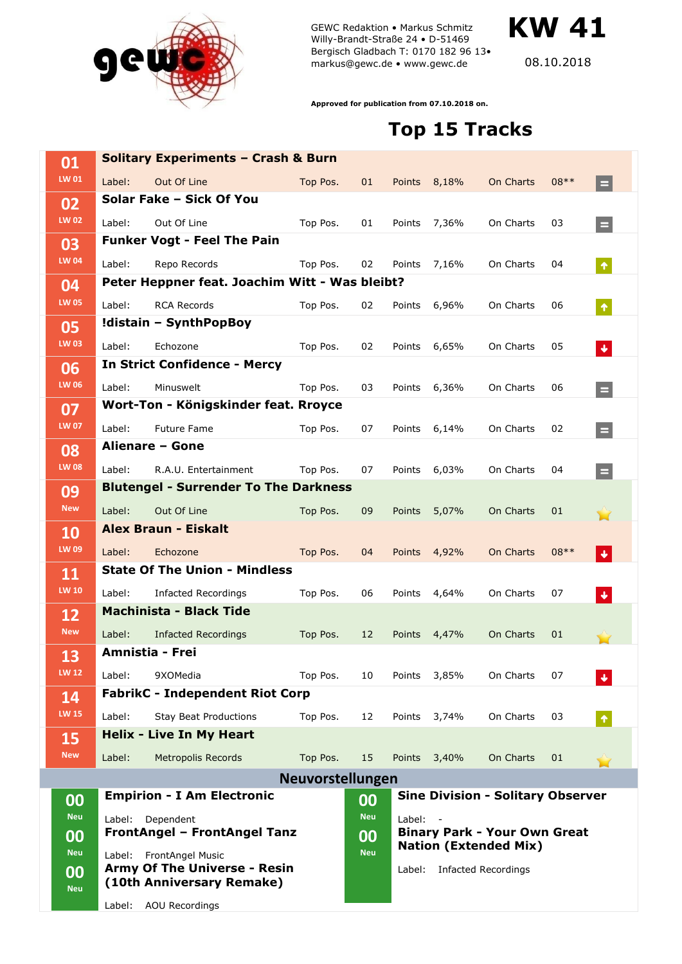

GEWC Redaktion • Markus Schmitz Willy-Brandt-Straße 24 • D-51469 Bergisch Gladbach T: 0170 182 96 13• markus@gewc.de • www.gewc.de

**KW 41**

08.10.2018

**Approved for publication from 07.10.2018 on.**

## **Top 15 Tracks**

| 01                 | <b>Solitary Experiments - Crash &amp; Burn</b>                   |                                                              |                  |            |                                                                               |              |                            |        |                         |  |
|--------------------|------------------------------------------------------------------|--------------------------------------------------------------|------------------|------------|-------------------------------------------------------------------------------|--------------|----------------------------|--------|-------------------------|--|
| LW 01              | Label:                                                           | Out Of Line                                                  | Top Pos.         | 01         |                                                                               | Points 8,18% | On Charts                  | $08**$ | $=$                     |  |
| 02                 |                                                                  | Solar Fake - Sick Of You                                     |                  |            |                                                                               |              |                            |        |                         |  |
| <b>LW 02</b>       | Label:                                                           | Out Of Line                                                  | Top Pos.         | 01         |                                                                               | Points 7,36% | On Charts                  | 03     | $\equiv$                |  |
| 03                 |                                                                  | <b>Funker Vogt - Feel The Pain</b>                           |                  |            |                                                                               |              |                            |        |                         |  |
| <b>LW 04</b>       | Label:                                                           | Repo Records                                                 | Top Pos.         | 02         |                                                                               | Points 7,16% | On Charts                  | 04     | $\hat{\pmb{\gamma}}$    |  |
| 04<br><b>LW 05</b> | Peter Heppner feat. Joachim Witt - Was bleibt?                   |                                                              |                  |            |                                                                               |              |                            |        |                         |  |
|                    | Label:                                                           | <b>RCA Records</b>                                           | Top Pos.         | 02         |                                                                               | Points 6,96% | On Charts                  | 06     | $\hat{\pmb{\gamma}}$    |  |
| 05<br><b>LW 03</b> | !distain - SynthPopBoy                                           |                                                              |                  |            |                                                                               |              |                            |        |                         |  |
|                    | Label:                                                           | Echozone                                                     | Top Pos.         | 02         |                                                                               | Points 6,65% | On Charts                  | 05     | $\blacklozenge$         |  |
| 06                 | <b>In Strict Confidence - Mercy</b>                              |                                                              |                  |            |                                                                               |              |                            |        |                         |  |
| <b>LW 06</b>       | Label:                                                           | Minuswelt                                                    | Top Pos.         | 03         |                                                                               | Points 6,36% | On Charts                  | 06     | $\equiv$                |  |
| 07<br><b>LW 07</b> | Wort-Ton - Königskinder feat. Rroyce                             |                                                              |                  |            |                                                                               |              |                            |        |                         |  |
|                    | Label:                                                           | <b>Future Fame</b>                                           | Top Pos.         | 07         |                                                                               | Points 6,14% | On Charts                  | 02     | $\equiv$                |  |
| 08                 |                                                                  | Alienare - Gone                                              |                  |            |                                                                               |              |                            |        |                         |  |
| <b>LW 08</b>       | Label:                                                           | R.A.U. Entertainment                                         | Top Pos.         | 07         |                                                                               | Points 6,03% | On Charts                  | 04     | $\equiv$                |  |
| 09<br><b>New</b>   |                                                                  | <b>Blutengel - Surrender To The Darkness</b>                 |                  |            |                                                                               |              |                            |        |                         |  |
|                    | Label:                                                           | Out Of Line                                                  | Top Pos.         | 09         | Points                                                                        | 5,07%        | On Charts                  | 01     |                         |  |
| 10                 |                                                                  | <b>Alex Braun - Eiskalt</b>                                  |                  |            |                                                                               |              |                            |        |                         |  |
| LW 09              | Label:                                                           | Echozone<br><b>State Of The Union - Mindless</b>             | Top Pos.         | 04         |                                                                               | Points 4,92% | On Charts                  | $08**$ | $\color{red} \clubsuit$ |  |
| 11<br><b>LW 10</b> |                                                                  |                                                              |                  |            |                                                                               |              |                            |        |                         |  |
|                    | Label:                                                           | <b>Infacted Recordings</b><br><b>Machinista - Black Tide</b> | Top Pos.         | 06         | Points                                                                        | 4,64%        | On Charts                  | 07     | $\blacklozenge$         |  |
| 12<br><b>New</b>   | Label:                                                           |                                                              | Top Pos.         |            |                                                                               |              | On Charts                  |        |                         |  |
|                    |                                                                  | <b>Infacted Recordings</b><br>Amnistia - Frei                |                  | 12         | Points                                                                        | 4,47%        |                            | 01     |                         |  |
| 13<br><b>LW 12</b> | Label:                                                           | 9XOMedia                                                     | Top Pos.         | 10         | Points                                                                        | 3,85%        | On Charts                  | 07     |                         |  |
| 14                 |                                                                  | <b>FabrikC - Independent Riot Corp</b>                       |                  |            |                                                                               |              |                            |        |                         |  |
| <b>LW 15</b>       | Label:                                                           | <b>Stay Beat Productions</b>                                 | Top Pos.         | 12         | Points                                                                        | 3,74%        | On Charts                  | 03     | $\pmb{\uparrow}$        |  |
| 15                 |                                                                  | <b>Helix - Live In My Heart</b>                              |                  |            |                                                                               |              |                            |        |                         |  |
| <b>New</b>         | Label:                                                           | Metropolis Records                                           | Top Pos.         | 15         |                                                                               | Points 3,40% | On Charts                  | 01     |                         |  |
|                    |                                                                  |                                                              | Neuvorstellungen |            |                                                                               |              |                            |        |                         |  |
| 00                 |                                                                  | <b>Empirion - I Am Electronic</b>                            |                  | 00         | <b>Sine Division - Solitary Observer</b>                                      |              |                            |        |                         |  |
| <b>Neu</b>         | Label:                                                           | Dependent                                                    |                  |            | Label:<br><b>Binary Park - Your Own Great</b><br><b>Nation (Extended Mix)</b> |              |                            |        |                         |  |
| 00                 | FrontAngel - FrontAngel Tanz                                     |                                                              |                  | 00         |                                                                               |              |                            |        |                         |  |
| <b>Neu</b>         | Label:                                                           | FrontAngel Music                                             |                  | <b>Neu</b> |                                                                               |              |                            |        |                         |  |
| 00                 | <b>Army Of The Universe - Resin</b><br>(10th Anniversary Remake) |                                                              |                  |            | Label:                                                                        |              | <b>Infacted Recordings</b> |        |                         |  |
| <b>Neu</b>         |                                                                  |                                                              |                  |            |                                                                               |              |                            |        |                         |  |